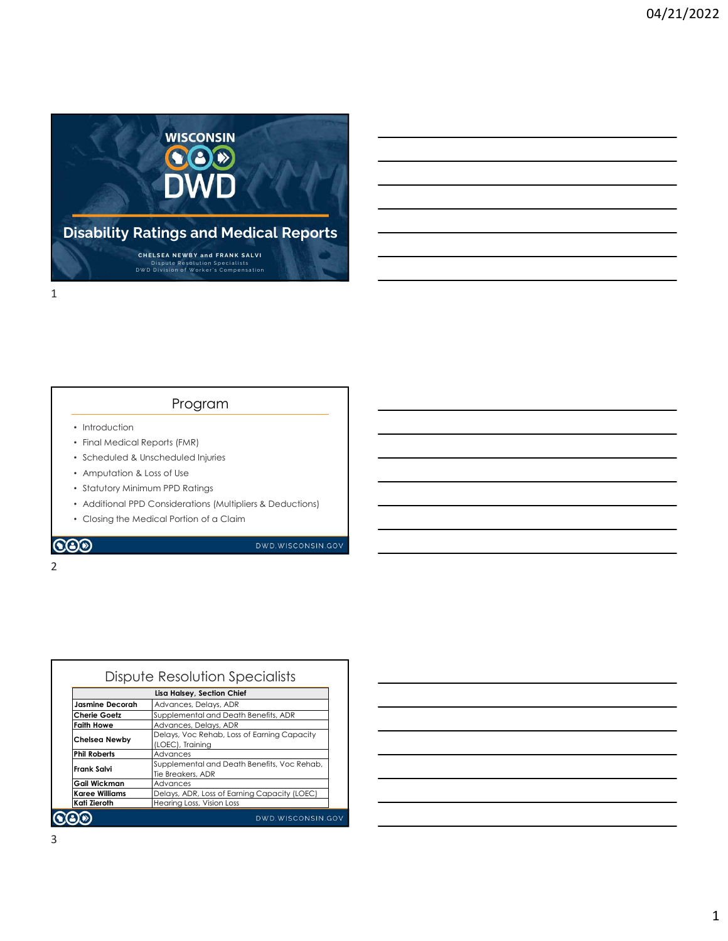

### Program

- Introduction
- Final Medical Reports (FMR)
- Scheduled & Unscheduled Injuries
- Amputation & Loss of Use
- Statutory Minimum PPD Ratings
- Additional PPD Considerations (Multipliers & Deductions)
- Closing the Medical Portion of a Claim

2 and 2 and 2 and 2 and 2 and 2 and 2 and 2 and 2 and 2 and 2 and 2 and 2 and 2 and 2 and 2 and 2 and 2 and 2

COO

DWD.WISCONSIN.GOV

|                       | Dispute Resolution Specialists               |
|-----------------------|----------------------------------------------|
|                       | Lisa Halsey, Section Chief                   |
| Jasmine Decorah       | Advances, Delays, ADR                        |
| <b>Cherie Goetz</b>   | Supplemental and Death Benefits, ADR         |
| Faith Howe            | Advances, Delays, ADR                        |
| <b>Chelsea Newby</b>  | Delays, Voc Rehab, Loss of Earning Capacity  |
|                       | (LOEC), Trainina                             |
| <b>Phil Roberts</b>   | Advances                                     |
| Frank Salvi           | Supplemental and Death Benefits, Voc Rehab,  |
|                       | Tie Breakers, ADR                            |
| Gail Wickman          | Advances                                     |
| <b>Karee Williams</b> | Delays, ADR, Loss of Earning Capacity (LOEC) |
| Kati Zieroth          | Hearing Loss, Vision Loss                    |
|                       | DWD.WISCONSIN.GOV                            |

| <u> 1989 - Johann Barn, mars ann an t-Amhain ann an t-Amhain ann an t-Amhain ann an t-Amhain an t-Amhain ann an t-</u> |  |  |
|------------------------------------------------------------------------------------------------------------------------|--|--|
| <u> 1989 - Johann Stoff, amerikansk politiker (d. 1989)</u>                                                            |  |  |
| <u> 1989 - Johann Stoff, deutscher Stoffen und der Stoffen und der Stoffen und der Stoffen und der Stoffen und de</u>  |  |  |
|                                                                                                                        |  |  |
|                                                                                                                        |  |  |
| <u> 1989 - Andrea Andrew Maria (h. 1989).</u>                                                                          |  |  |
| <u> 1989 - Andrea Barbara, Amerikaansk politiker († 1908)</u>                                                          |  |  |
|                                                                                                                        |  |  |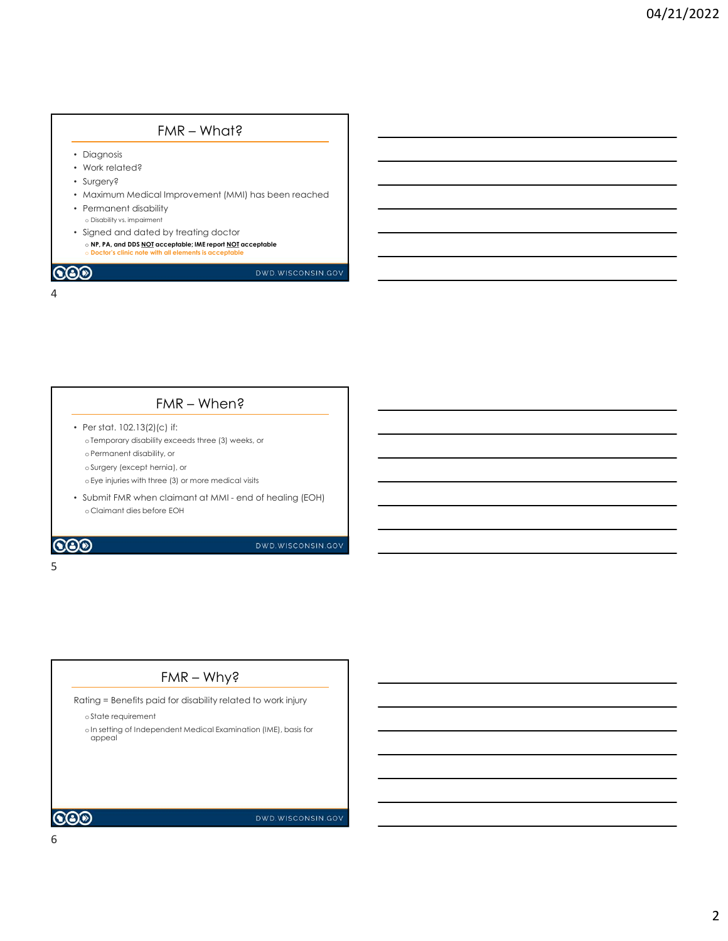# • Diagnosis • Work related? • Surgery? • Maximum Medical Improvement (MMI) has been reached • Permanent disability o Disability vs. impairment • Signed and dated by treating doctor FMR — What?<br>Diagnosis<br>Contracted Contracted Contracted Contracted Contracted Contracted Contracted Contracted Contracted Contracted<br>Contracted Contracted Contracted Contracted Contracted Contracted Contracted Contracted Co  $\mathbf b$  Doctor's clinic note with all elements is accet FMR – What?<br>
Il Improvement (MMI) has been reached • Modifrum Medical Improvement (MMI) has been reached<br>• Substitute a magnetic claimate<br>• Submit FMR when claim at Market and Submit Claimant and Claimant at Market Claimant at Market Claimant at Market Claimant distance an FMR – What?<br>
all Improvement (MMI) has been reached<br>
or<br>
of by treating doctor<br> **and the members with respectively.**<br> **EMR – When?<br>
FMR – When?**<br>
(c) if:<br>
(c) if:<br>
(c) if:<br>
(c) if:<br>
(c) if:<br>
(c) if:<br>
(c) if:<br>
(c) if:<br>
(c) 4

- Per stat. 102.13(2)(c) if: oTemporary disability exceeds three (3) weeks, or oPermanent disability, or oSurgery (except hernia), or oEye injuries with three (3) or more medical visits FMR – When?<br>
Fig. if:<br>  $\frac{1}{2}$  if:<br>  $\frac{1}{2}$  exceeds three (3) weeks, or<br>  $\frac{1}{2}$  (a) ar more medical visits<br>  $\frac{1}{2}$  (a) ar more medical visits<br>  $\frac{1}{2}$  (b)  $\frac{1}{2}$ <br>  $\frac{1}{2}$  (b)  $\frac{1}{2}$ <br>  $\frac{1}{2}$  (b)  $\frac{$
- 

### $5<sub>5</sub>$

Rating = Benefits paid for disability related to work injury

### oState requirement

oIn setting of Independent Medical Examination (IME), basis for appeal

### $\bigcircledS$

DWD.WISCONSIN.GOV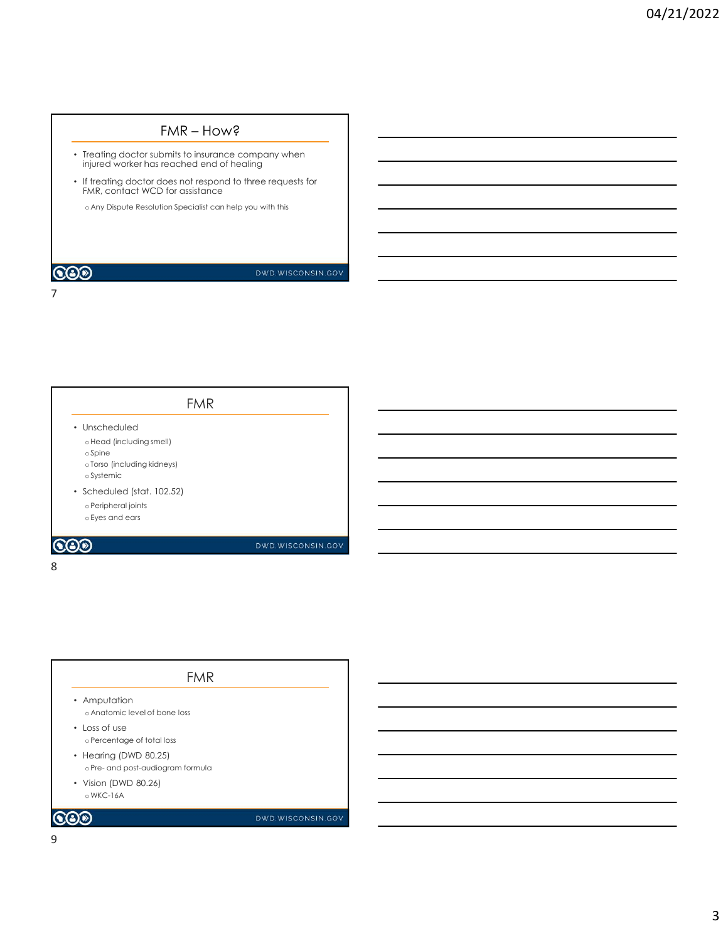- Treating doctor submits to insurance company when injured worker has reached end of healing
- If treating doctor does not respond to three requests for FMR, contact WCD for assistance FMR — How?<br>
Somits to insurance company when<br>
reached end of healing<br>
foot assistance<br>
for a state from help www.thistics.<br>
The consistence has www.thistics.

o Any Dispute Resolution Specialist can help you with this

### **COD**

### DWD.WISCONSIN.GOV

7

| <b>FMR</b>                                           |  |
|------------------------------------------------------|--|
| • Unscheduled                                        |  |
| o Head (including smell)                             |  |
| o Spine<br>o Torso (including kidneys)<br>o Systemic |  |
| • Scheduled (stat. 102.52)                           |  |
| o Peripheral joints                                  |  |
| o Eyes and ears                                      |  |
|                                                      |  |

8 and 2010 and 2010 and 2010 and 2010 and 2010 and 2010 and 2010 and 2010 and 2010 and 2010 and 2010 and 2010

## • Amputation o Anatomic level of bone loss • Loss of use oPercentage of total loss • Hearing (DWD 80.25) oprincipal (state)<br>
or and post-audiographics<br>
scheed (stat. 102,52)<br>
a Peripheral giants<br>
eleges and ears<br> **DVD**<br>
scheed and post-audiogram formula<br>
Amputation<br>
Amputation<br>
electentage of total loss<br>
electentage of total • Vision (DWD 80.26) oWKC-16A FMR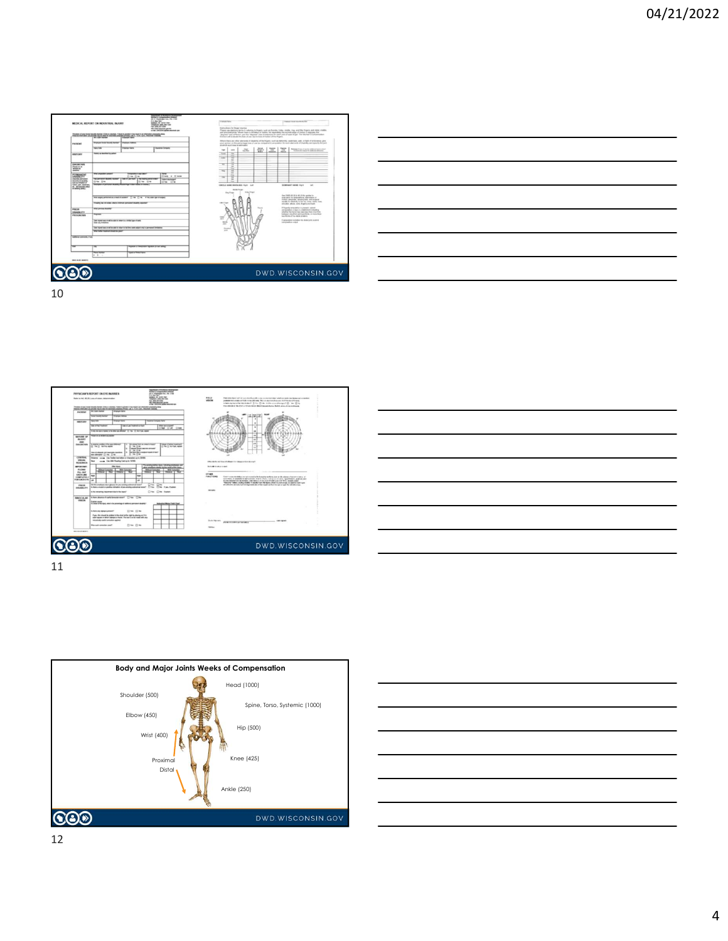











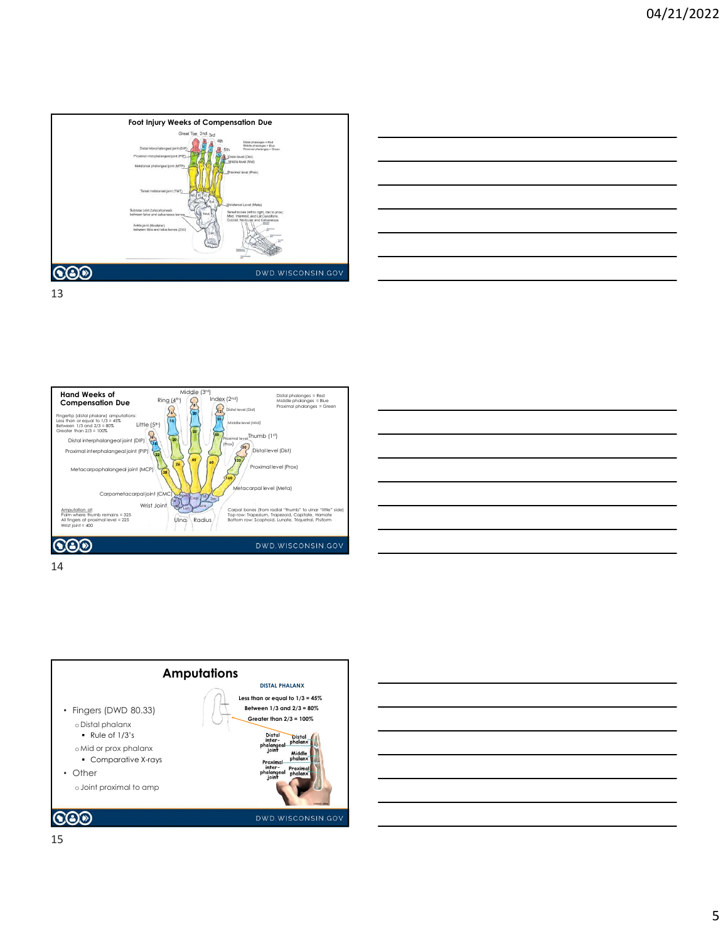









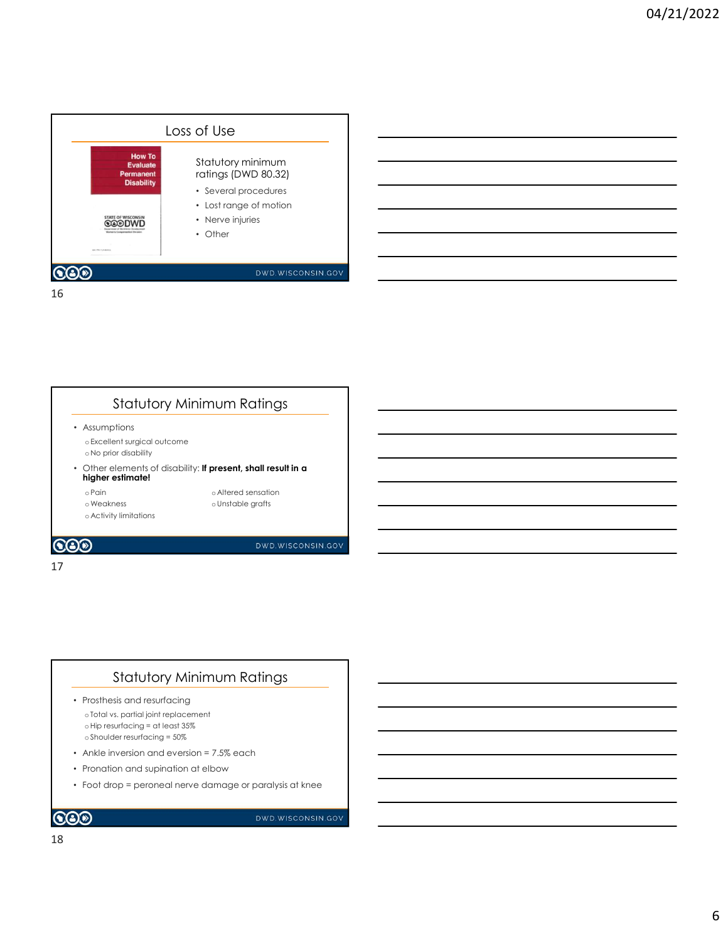



### Statutory Minimum Ratings

- Prosthesis and resurfacing o Total vs. partial joint replacement oHip resurfacing = at least 35% o Shoulder resurfacing = 50%
- Ankle inversion and eversion = 7.5% each
- Pronation and supination at elbow
- Foot drop = peroneal nerve damage or paralysis at knee

```
\odot
```
DWD.WISCONSIN.GOV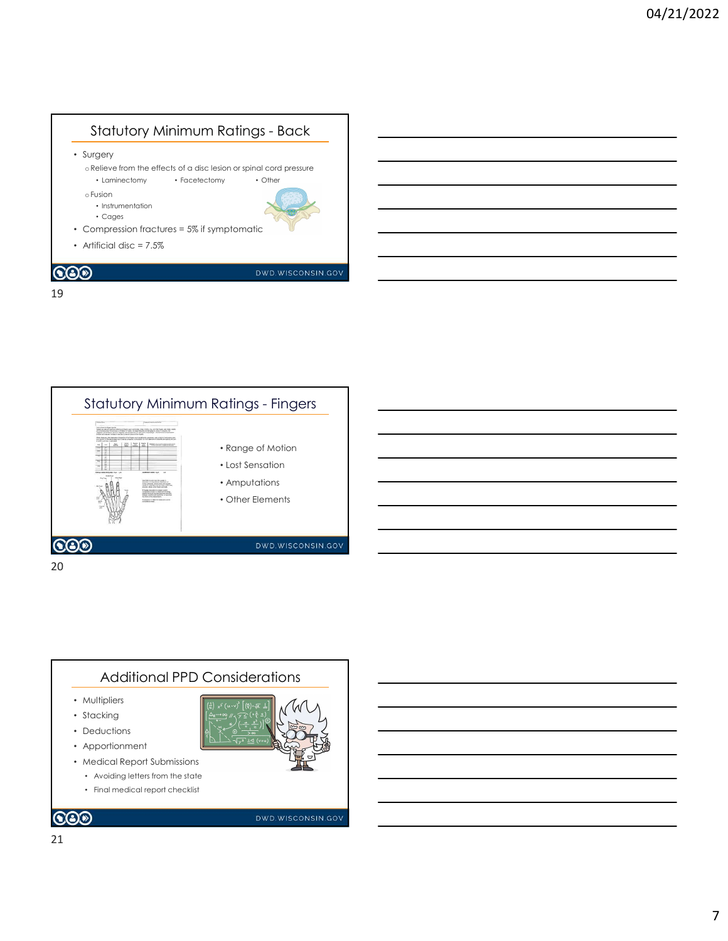





- Avoiding letters from the state
- Final medical report checklist

 $\bigcircledS$ 

### DWD.WISCONSIN.GOV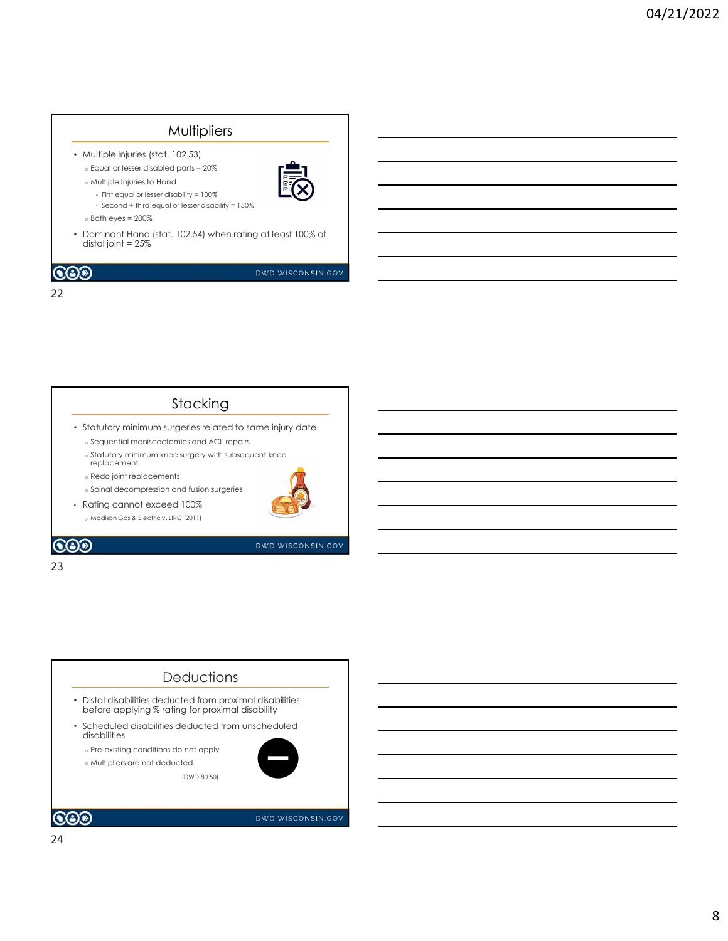### Multipliers • Multiple Injuries (stat. 102.53) o Equal or lesser disabled parts = 20% o Multiple Injuries to Hand • First equal or lesser disability = 100% • Second + third equal or lesser disability = 150%  $\circ$  Both eyes = 200 $\%$ • Dominant Hand (stat. 102.54) when rating at least 100% of distal joint = 25%  $\bigcircledS$ DWD.WISCONSIN.GOV 22

### Stacking

- Statutory minimum surgeries related to same injury date
	- o Sequential meniscectomies and ACL repairs o Statutory minimum knee surgery with subsequent knee
	- replacement
	- o Redo joint replacements
	- o Spinal decompression and fusion surgeries
- Rating cannot exceed 100% o Madison Gas & Electric v. LIRC (2011)



 $\odot$ 

### 23

DWD.WISCONSIN.GOV

### **Deductions**

(DWD 80.50)

- Distal disabilities deducted from proximal disabilities before applying % rating for proximal disability
- Scheduled disabilities deducted from unscheduled disabilities

o Pre-existing conditions do not apply

o Multipliers are not deducted



DWD.WISCONSIN.GOV

### $\odot$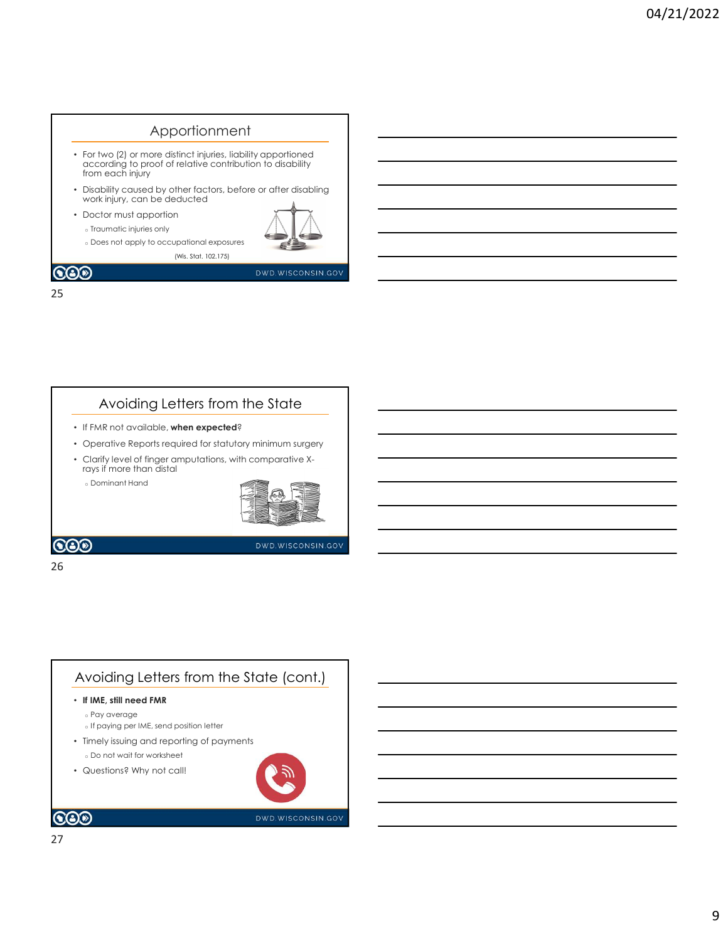### Apportionment • For two (2) or more distinct injuries, liability apportioned according to proof of relative contribution to disability from each injury • Disability caused by other factors, before or after disabling work injury, can be deducted • Doctor must apportion o Traumatic injuries only o Does not apply to occupational exposures (Wis. Stat. 102.175) **COD** DWD.WISCONSIN.GOV

### 25

### Avoiding Letters from the State

- If FMR not available, when expected?
- Operative Reports required for statutory minimum surgery
- Clarify level of finger amputations, with comparative X-rays if more than distal

o Dominant Hand



DWD.WISCONSIN.GOV

### **COD**

### 26 and the contract of the contract of the contract of the contract of the contract of the contract of the contract of the contract of the contract of the contract of the contract of the contract of the contract of the con

### Avoiding Letters from the State (cont.) • If IME, still need FMR o Pay average o If paying per IME, send position letter • Timely issuing and reporting of payments o Do not wait for worksheet • Questions? Why not call!  $\odot$ DWD.WISCONSIN.GOV